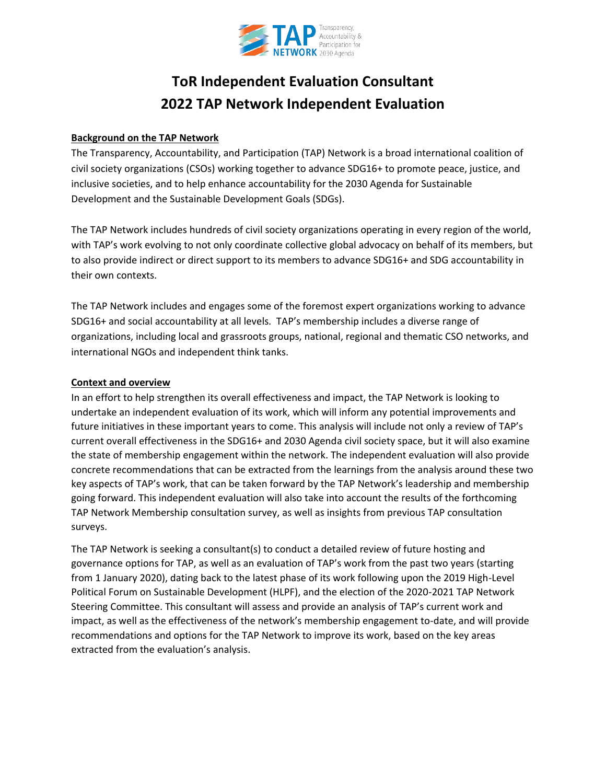

# **ToR Independent Evaluation Consultant 2022 TAP Network Independent Evaluation**

#### **Background on the TAP Network**

The Transparency, Accountability, and Participation (TAP) Network is a broad international coalition of civil society organizations (CSOs) working together to advance SDG16+ to promote peace, justice, and inclusive societies, and to help enhance accountability for the 2030 Agenda for Sustainable Development and the Sustainable Development Goals (SDGs).

The TAP Network includes hundreds of civil society organizations operating in every region of the world, with TAP's work evolving to not only coordinate collective global advocacy on behalf of its members, but to also provide indirect or direct support to its members to advance SDG16+ and SDG accountability in their own contexts.

The TAP Network includes and engages some of the foremost expert organizations working to advance SDG16+ and social accountability at all levels. TAP's membership includes a diverse range of organizations, including local and grassroots groups, national, regional and thematic CSO networks, and international NGOs and independent think tanks.

#### **Context and overview**

In an effort to help strengthen its overall effectiveness and impact, the TAP Network is looking to undertake an independent evaluation of its work, which will inform any potential improvements and future initiatives in these important years to come. This analysis will include not only a review of TAP's current overall effectiveness in the SDG16+ and 2030 Agenda civil society space, but it will also examine the state of membership engagement within the network. The independent evaluation will also provide concrete recommendations that can be extracted from the learnings from the analysis around these two key aspects of TAP's work, that can be taken forward by the TAP Network's leadership and membership going forward. This independent evaluation will also take into account the results of the forthcoming TAP Network Membership consultation survey, as well as insights from previous TAP consultation surveys.

The TAP Network is seeking a consultant(s) to conduct a detailed review of future hosting and governance options for TAP, as well as an evaluation of TAP's work from the past two years (starting from 1 January 2020), dating back to the latest phase of its work following upon the 2019 High-Level Political Forum on Sustainable Development (HLPF), and the election of the 2020-2021 TAP Network Steering Committee. This consultant will assess and provide an analysis of TAP's current work and impact, as well as the effectiveness of the network's membership engagement to-date, and will provide recommendations and options for the TAP Network to improve its work, based on the key areas extracted from the evaluation's analysis.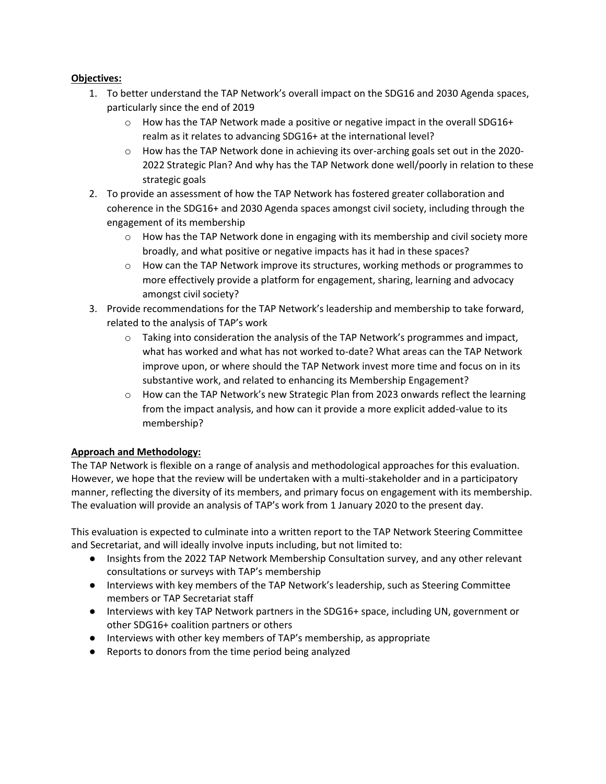#### **Objectives:**

- 1. To better understand the TAP Network's overall impact on the SDG16 and 2030 Agenda spaces, particularly since the end of 2019
	- $\circ$  How has the TAP Network made a positive or negative impact in the overall SDG16+ realm as it relates to advancing SDG16+ at the international level?
	- $\circ$  How has the TAP Network done in achieving its over-arching goals set out in the 2020-2022 Strategic Plan? And why has the TAP Network done well/poorly in relation to these strategic goals
- 2. To provide an assessment of how the TAP Network has fostered greater collaboration and coherence in the SDG16+ and 2030 Agenda spaces amongst civil society, including through the engagement of its membership
	- $\circ$  How has the TAP Network done in engaging with its membership and civil society more broadly, and what positive or negative impacts has it had in these spaces?
	- $\circ$  How can the TAP Network improve its structures, working methods or programmes to more effectively provide a platform for engagement, sharing, learning and advocacy amongst civil society?
- 3. Provide recommendations for the TAP Network's leadership and membership to take forward, related to the analysis of TAP's work
	- $\circ$  Taking into consideration the analysis of the TAP Network's programmes and impact, what has worked and what has not worked to-date? What areas can the TAP Network improve upon, or where should the TAP Network invest more time and focus on in its substantive work, and related to enhancing its Membership Engagement?
	- $\circ$  How can the TAP Network's new Strategic Plan from 2023 onwards reflect the learning from the impact analysis, and how can it provide a more explicit added-value to its membership?

## **Approach and Methodology:**

The TAP Network is flexible on a range of analysis and methodological approaches for this evaluation. However, we hope that the review will be undertaken with a multi-stakeholder and in a participatory manner, reflecting the diversity of its members, and primary focus on engagement with its membership. The evaluation will provide an analysis of TAP's work from 1 January 2020 to the present day.

This evaluation is expected to culminate into a written report to the TAP Network Steering Committee and Secretariat, and will ideally involve inputs including, but not limited to:

- Insights from the 2022 TAP Network Membership Consultation survey, and any other relevant consultations or surveys with TAP's membership
- Interviews with key members of the TAP Network's leadership, such as Steering Committee members or TAP Secretariat staff
- Interviews with key TAP Network partners in the SDG16+ space, including UN, government or other SDG16+ coalition partners or others
- Interviews with other key members of TAP's membership, as appropriate
- Reports to donors from the time period being analyzed